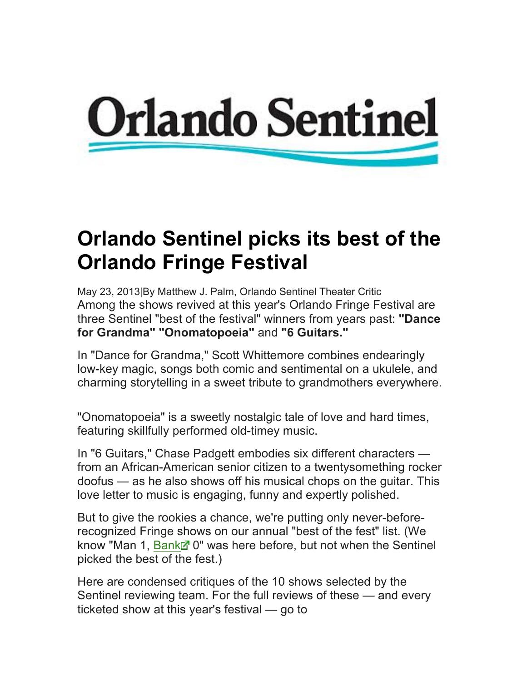

## **Orlando Sentinel picks its best of the Orlando Fringe Festival**

May 23, 2013|By Matthew J. Palm, Orlando Sentinel Theater Critic Among the shows revived at this year's Orlando Fringe Festival are three Sentinel "best of the festival" winners from years past: **"Dance for Grandma" "Onomatopoeia"** and **"6 Guitars."**

In "Dance for Grandma," Scott Whittemore combines endearingly low-key magic, songs both comic and sentimental on a ukulele, and charming storytelling in a sweet tribute to grandmothers everywhere.

"Onomatopoeia" is a sweetly nostalgic tale of love and hard times, featuring skillfully performed old-timey music.

In "6 Guitars," Chase Padgett embodies six different characters from an African-American senior citizen to a twentysomething rocker doofus — as he also shows off his musical chops on the guitar. This love letter to music is engaging, funny and expertly polished.

But to give the rookies a chance, we're putting only never-beforerecognized Fringe shows on our annual "best of the fest" list. (We know "Man 1, Bankd" 0" was here before, but not when the Sentinel picked the best of the fest.)

Here are condensed critiques of the 10 shows selected by the Sentinel reviewing team. For the full reviews of these — and every ticketed show at this year's festival — go to